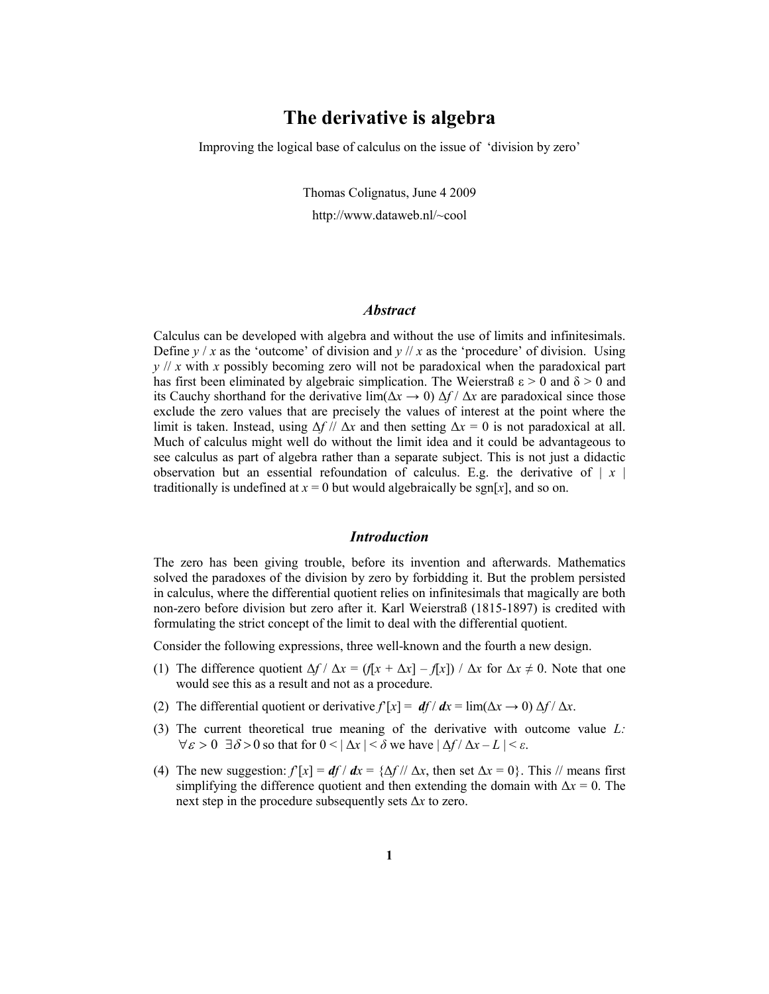# The derivative is algebra

Improving the logical base of calculus on the issue of 'division by zero'

Thomas Colignatus, June 4 2009

http://www.dataweb.nl/~cool

# **Abstract**

Calculus can be developed with algebra and without the use of limits and infinitesimals. Define  $y/x$  as the 'outcome' of division and  $y//x$  as the 'procedure' of division. Using  $y$  // x with x possibly becoming zero will not be paradoxical when the paradoxical part has first been eliminated by algebraic simplication. The Weierstraß  $\epsilon > 0$  and  $\delta > 0$  and its Cauchy shorthand for the derivative lim( $\Delta x \rightarrow 0$ )  $\Delta f / \Delta x$  are paradoxical since those exclude the zero values that are precisely the values of interest at the point where the limit is taken. Instead, using  $\Delta f$  //  $\Delta x$  and then setting  $\Delta x = 0$  is not paradoxical at all. Much of calculus might well do without the limit idea and it could be advantageous to see calculus as part of algebra rather than a separate subject. This is not just a didactic observation but an essential refoundation of calculus. E.g. the derivative of  $|x|$ traditionally is undefined at  $x = 0$  but would algebraically be sgn[x], and so on.

#### Introduction

The zero has been giving trouble, before its invention and afterwards. Mathematics solved the paradoxes of the division by zero by forbidding it. But the problem persisted in calculus, where the differential quotient relies on infinitesimals that magically are both non-zero before division but zero after it. Karl Weierstraß (1815-1897) is credited with formulating the strict concept of the limit to deal with the differential quotient.

Consider the following expressions, three well-known and the fourth a new design.

- (1) The difference quotient  $\Delta f / \Delta x = (f[x + \Delta x] f[x]) / \Delta x$  for  $\Delta x \neq 0$ . Note that one would see this as a result and not as a procedure.
- (2) The differential quotient or derivative  $f[x] = df/dx = \lim(\Delta x \to 0) \Delta f/\Delta x$ .
- (3) The current theoretical true meaning of the derivative with outcome value  $L$ :  $\forall \varepsilon > 0 \exists \delta > 0$  so that for  $0 < |\Delta x| < \delta$  we have  $|\Delta f / \Delta x - L| < \varepsilon$ .
- (4) The new suggestion:  $f[x] = df/dx = {\Delta f}/\Delta x$ , then set  $\Delta x = 0$ . This // means first simplifying the difference quotient and then extending the domain with  $\Delta x = 0$ . The next step in the procedure subsequently sets ∆x to zero.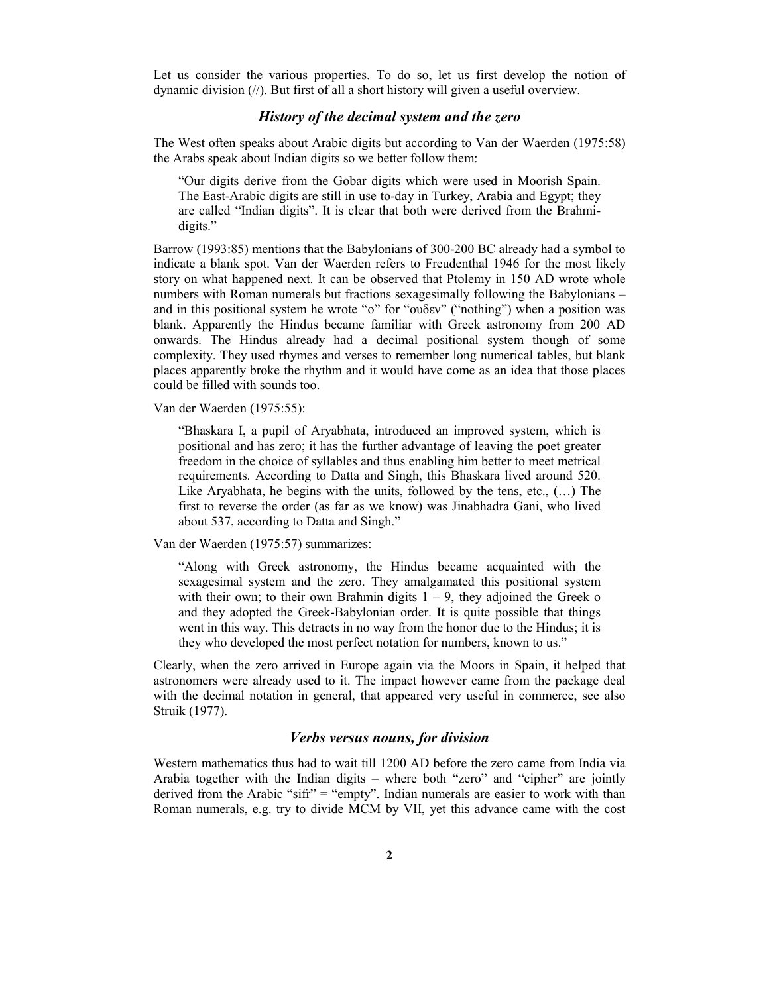Let us consider the various properties. To do so, let us first develop the notion of dynamic division (//). But first of all a short history will given a useful overview.

# History of the decimal system and the zero

The West often speaks about Arabic digits but according to Van der Waerden (1975:58) the Arabs speak about Indian digits so we better follow them:

"Our digits derive from the Gobar digits which were used in Moorish Spain. The East-Arabic digits are still in use to-day in Turkey, Arabia and Egypt; they are called "Indian digits". It is clear that both were derived from the Brahmidigits."

Barrow (1993:85) mentions that the Babylonians of 300-200 BC already had a symbol to indicate a blank spot. Van der Waerden refers to Freudenthal 1946 for the most likely story on what happened next. It can be observed that Ptolemy in 150 AD wrote whole numbers with Roman numerals but fractions sexagesimally following the Babylonians – and in this positional system he wrote "o" for "ουδεν" ("nothing") when a position was blank. Apparently the Hindus became familiar with Greek astronomy from 200 AD onwards. The Hindus already had a decimal positional system though of some complexity. They used rhymes and verses to remember long numerical tables, but blank places apparently broke the rhythm and it would have come as an idea that those places could be filled with sounds too.

Van der Waerden (1975:55):

"Bhaskara I, a pupil of Aryabhata, introduced an improved system, which is positional and has zero; it has the further advantage of leaving the poet greater freedom in the choice of syllables and thus enabling him better to meet metrical requirements. According to Datta and Singh, this Bhaskara lived around 520. Like Aryabhata, he begins with the units, followed by the tens, etc., (…) The first to reverse the order (as far as we know) was Jinabhadra Gani, who lived about 537, according to Datta and Singh."

Van der Waerden (1975:57) summarizes:

"Along with Greek astronomy, the Hindus became acquainted with the sexagesimal system and the zero. They amalgamated this positional system with their own; to their own Brahmin digits  $1 - 9$ , they adjoined the Greek o and they adopted the Greek-Babylonian order. It is quite possible that things went in this way. This detracts in no way from the honor due to the Hindus; it is they who developed the most perfect notation for numbers, known to us."

Clearly, when the zero arrived in Europe again via the Moors in Spain, it helped that astronomers were already used to it. The impact however came from the package deal with the decimal notation in general, that appeared very useful in commerce, see also Struik (1977).

#### Verbs versus nouns, for division

Western mathematics thus had to wait till 1200 AD before the zero came from India via Arabia together with the Indian digits – where both "zero" and "cipher" are jointly derived from the Arabic "sifr" = "empty". Indian numerals are easier to work with than Roman numerals, e.g. try to divide MCM by VII, yet this advance came with the cost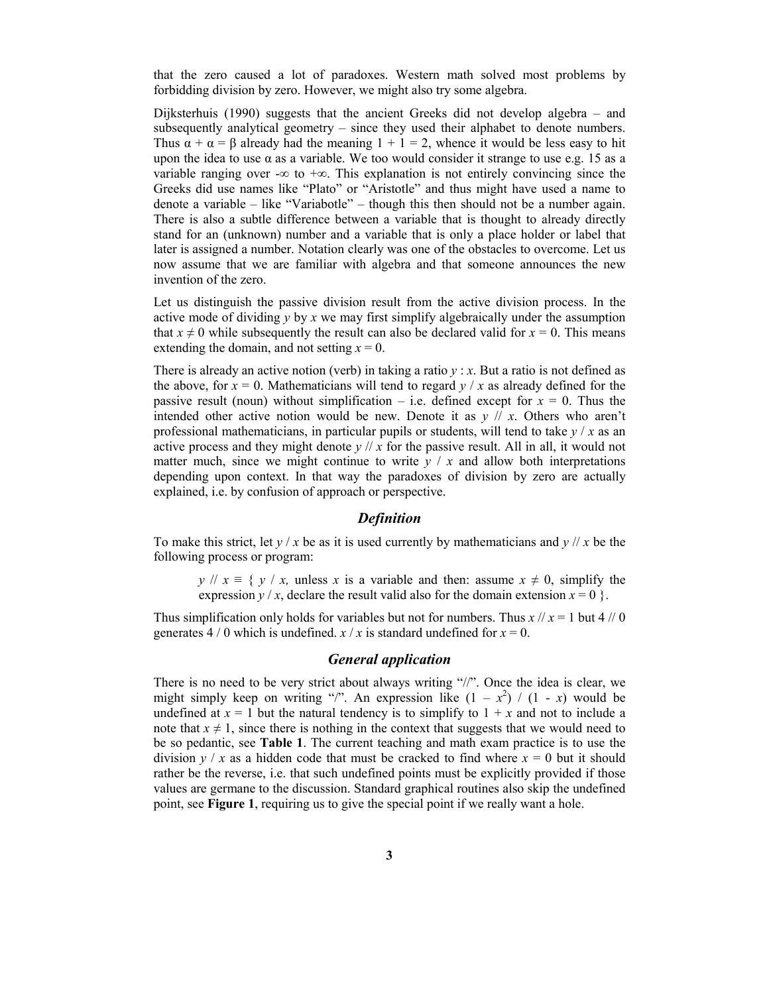that the zero caused a lot of paradoxes. Western math solved most problems by forbidding division by zero. However, we might also try some algebra.

Dijksterhuis (1990) suggests that the ancient Greeks did not develop algebra – and subsequently analytical geometry – since they used their alphabet to denote numbers. Thus  $\alpha + \alpha = \beta$  already had the meaning  $1 + 1 = 2$ , whence it would be less easy to hit upon the idea to use  $\alpha$  as a variable. We too would consider it strange to use e.g. 15 as a variable ranging over -∞ to +∞. This explanation is not entirely convincing since the Greeks did use names like "Plato" or "Aristotle" and thus might have used a name to denote a variable – like "Variabotle" – though this then should not be a number again. There is also a subtle difference between a variable that is thought to already directly stand for an (unknown) number and a variable that is only a place holder or label that later is assigned a number. Notation clearly was one of the obstacles to overcome. Let us now assume that we are familiar with algebra and that someone announces the new invention of the zero.

Let us distinguish the passive division result from the active division process. In the active mode of dividing  $y$  by x we may first simplify algebraically under the assumption that  $x \neq 0$  while subsequently the result can also be declared valid for  $x = 0$ . This means extending the domain, and not setting  $x = 0$ .

There is already an active notion (verb) in taking a ratio  $y : x$ . But a ratio is not defined as the above, for  $x = 0$ . Mathematicians will tend to regard  $y / x$  as already defined for the passive result (noun) without simplification – i.e. defined except for  $x = 0$ . Thus the intended other active notion would be new. Denote it as  $y \text{ // } x$ . Others who aren't professional mathematicians, in particular pupils or students, will tend to take  $y / x$  as an active process and they might denote  $y$  // x for the passive result. All in all, it would not matter much, since we might continue to write  $y / x$  and allow both interpretations depending upon context. In that way the paradoxes of division by zero are actually explained, i.e. by confusion of approach or perspective.

#### Definition

To make this strict, let  $y/x$  be as it is used currently by mathematicians and  $y/x$  be the following process or program:

 $y \mid x \equiv \{y \mid x$ , unless x is a variable and then: assume  $x \neq 0$ , simplify the expression  $y/x$ , declare the result valid also for the domain extension  $x = 0$  }.

Thus simplification only holds for variables but not for numbers. Thus  $x / x = 1$  but 4 // 0 generates 4 / 0 which is undefined.  $x / x$  is standard undefined for  $x = 0$ .

# General application

There is no need to be very strict about always writing "//". Once the idea is clear, we might simply keep on writing "/". An expression like  $(1 - x^2) / (1 - x)$  would be undefined at  $x = 1$  but the natural tendency is to simplify to  $1 + x$  and not to include a note that  $x \neq 1$ , since there is nothing in the context that suggests that we would need to be so pedantic, see Table 1. The current teaching and math exam practice is to use the division  $y / x$  as a hidden code that must be cracked to find where  $x = 0$  but it should rather be the reverse, i.e. that such undefined points must be explicitly provided if those values are germane to the discussion. Standard graphical routines also skip the undefined point, see Figure 1, requiring us to give the special point if we really want a hole.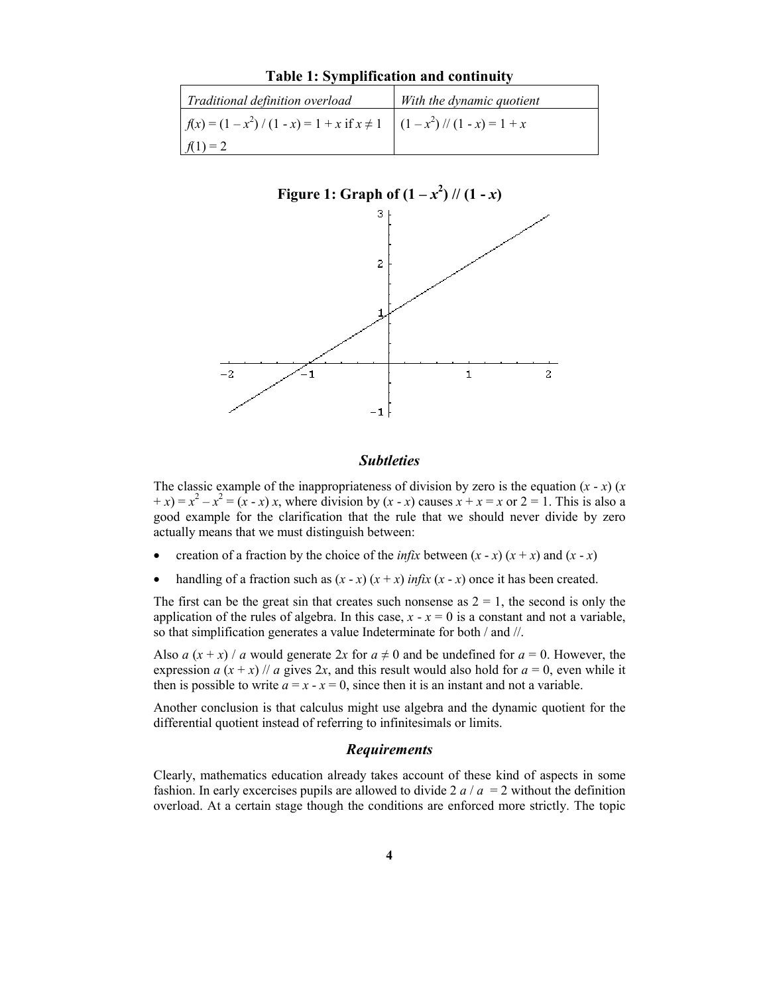| Traditional definition overload                                                                          | With the dynamic quotient |
|----------------------------------------------------------------------------------------------------------|---------------------------|
| $f(x) = (1 - x^2) / (1 - x) = 1 + x$ if $x \ne 1 \left( \frac{1 - x^2}{1 - x} \right) / (1 - x) = 1 + x$ |                           |
| $f(1) = 2$                                                                                               |                           |



# Table 1: Symplification and continuity

#### **Subtleties**

The classic example of the inappropriateness of division by zero is the equation  $(x - x)$  (x  $(x + x) = x^2 - x^2 = (x - x)x$ , where division by  $(x - x)$  causes  $x + x = x$  or  $2 = 1$ . This is also a good example for the clarification that the rule that we should never divide by zero actually means that we must distinguish between:

- creation of a fraction by the choice of the *infix* between  $(x x) (x + x)$  and  $(x x)$
- handling of a fraction such as  $(x x) (x + x)$  infix  $(x x)$  once it has been created.

The first can be the great sin that creates such nonsense as  $2 = 1$ , the second is only the application of the rules of algebra. In this case,  $x - x = 0$  is a constant and not a variable, so that simplification generates a value Indeterminate for both / and //.

Also a  $(x + x)$  / a would generate 2x for  $a \neq 0$  and be undefined for  $a = 0$ . However, the expression  $a(x + x)$  // a gives 2x, and this result would also hold for  $a = 0$ , even while it then is possible to write  $a = x - x = 0$ , since then it is an instant and not a variable.

Another conclusion is that calculus might use algebra and the dynamic quotient for the differential quotient instead of referring to infinitesimals or limits.

# Requirements

Clearly, mathematics education already takes account of these kind of aspects in some fashion. In early excercises pupils are allowed to divide 2  $a/a = 2$  without the definition overload. At a certain stage though the conditions are enforced more strictly. The topic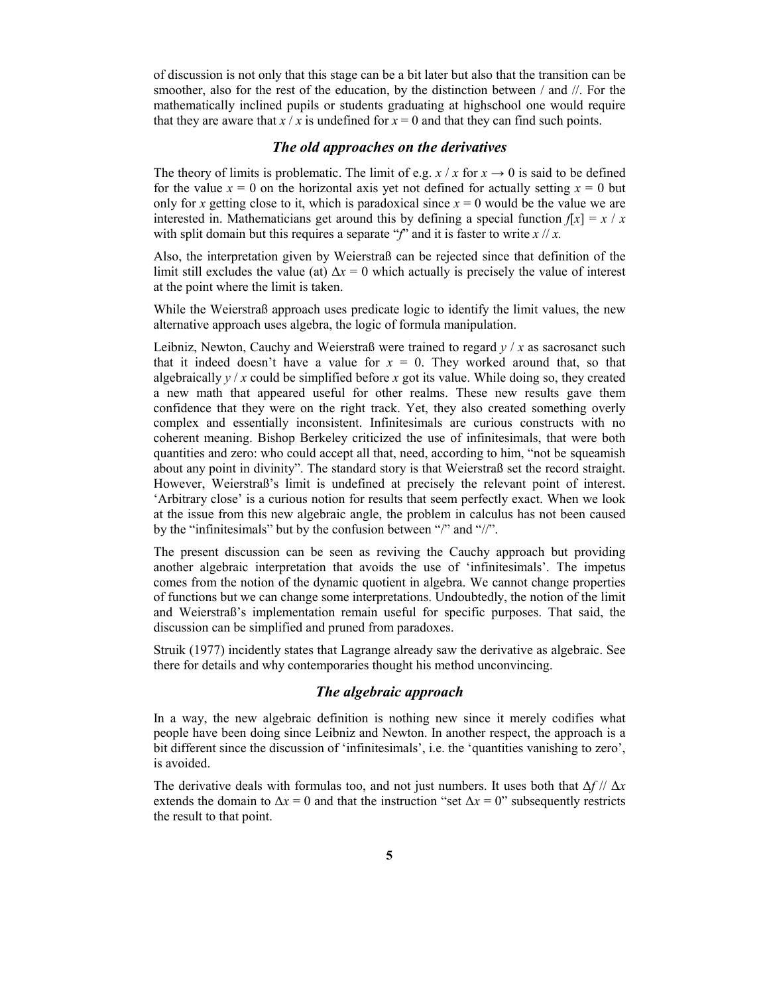of discussion is not only that this stage can be a bit later but also that the transition can be smoother, also for the rest of the education, by the distinction between / and //. For the mathematically inclined pupils or students graduating at highschool one would require that they are aware that  $x / x$  is undefined for  $x = 0$  and that they can find such points.

# The old approaches on the derivatives

The theory of limits is problematic. The limit of e.g.  $x / x$  for  $x \rightarrow 0$  is said to be defined for the value  $x = 0$  on the horizontal axis yet not defined for actually setting  $x = 0$  but only for x getting close to it, which is paradoxical since  $x = 0$  would be the value we are interested in. Mathematicians get around this by defining a special function  $f[x] = x / x$ with split domain but this requires a separate "f" and it is faster to write  $x \mid x$ .

Also, the interpretation given by Weierstraß can be rejected since that definition of the limit still excludes the value (at)  $\Delta x = 0$  which actually is precisely the value of interest at the point where the limit is taken.

While the Weierstraß approach uses predicate logic to identify the limit values, the new alternative approach uses algebra, the logic of formula manipulation.

Leibniz, Newton, Cauchy and Weierstraß were trained to regard  $y / x$  as sacrosanct such that it indeed doesn't have a value for  $x = 0$ . They worked around that, so that algebraically  $y/x$  could be simplified before x got its value. While doing so, they created a new math that appeared useful for other realms. These new results gave them confidence that they were on the right track. Yet, they also created something overly complex and essentially inconsistent. Infinitesimals are curious constructs with no coherent meaning. Bishop Berkeley criticized the use of infinitesimals, that were both quantities and zero: who could accept all that, need, according to him, "not be squeamish about any point in divinity". The standard story is that Weierstraß set the record straight. However, Weierstraß's limit is undefined at precisely the relevant point of interest. 'Arbitrary close' is a curious notion for results that seem perfectly exact. When we look at the issue from this new algebraic angle, the problem in calculus has not been caused by the "infinitesimals" but by the confusion between "/" and "//".

The present discussion can be seen as reviving the Cauchy approach but providing another algebraic interpretation that avoids the use of 'infinitesimals'. The impetus comes from the notion of the dynamic quotient in algebra. We cannot change properties of functions but we can change some interpretations. Undoubtedly, the notion of the limit and Weierstraß's implementation remain useful for specific purposes. That said, the discussion can be simplified and pruned from paradoxes.

Struik (1977) incidently states that Lagrange already saw the derivative as algebraic. See there for details and why contemporaries thought his method unconvincing.

# The algebraic approach

In a way, the new algebraic definition is nothing new since it merely codifies what people have been doing since Leibniz and Newton. In another respect, the approach is a bit different since the discussion of 'infinitesimals', i.e. the 'quantities vanishing to zero', is avoided.

The derivative deals with formulas too, and not just numbers. It uses both that  $\Delta f$  //  $\Delta x$ extends the domain to  $\Delta x = 0$  and that the instruction "set  $\Delta x = 0$ " subsequently restricts the result to that point.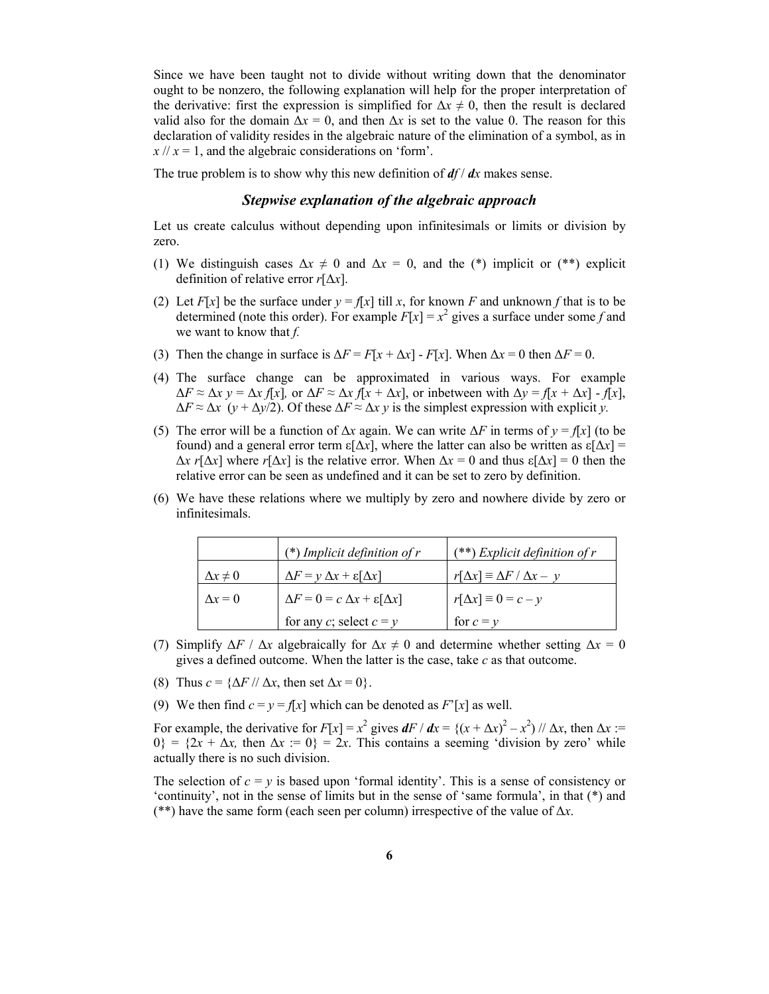Since we have been taught not to divide without writing down that the denominator ought to be nonzero, the following explanation will help for the proper interpretation of the derivative: first the expression is simplified for  $\Delta x \neq 0$ , then the result is declared valid also for the domain  $\Delta x = 0$ , and then  $\Delta x$  is set to the value 0. The reason for this declaration of validity resides in the algebraic nature of the elimination of a symbol, as in  $x$  //  $x = 1$ , and the algebraic considerations on 'form'.

The true problem is to show why this new definition of  $df/dx$  makes sense.

# Stepwise explanation of the algebraic approach

Let us create calculus without depending upon infinitesimals or limits or division by zero.

- (1) We distinguish cases  $\Delta x \neq 0$  and  $\Delta x = 0$ , and the (\*) implicit or (\*\*) explicit definition of relative error  $r[\Delta x]$ .
- (2) Let  $F[x]$  be the surface under  $y = f[x]$  till x, for known F and unknown f that is to be determined (note this order). For example  $F[x] = x^2$  gives a surface under some f and we want to know that  $f$ .
- (3) Then the change in surface is  $\Delta F = F[x + \Delta x] F[x]$ . When  $\Delta x = 0$  then  $\Delta F = 0$ .
- (4) The surface change can be approximated in various ways. For example  $\Delta F \approx \Delta x$  y =  $\Delta x$  f[x], or  $\Delta F \approx \Delta x$  f[x +  $\Delta x$ ], or inbetween with  $\Delta y = f[x + \Delta x] - f[x]$ ,  $\Delta F \approx \Delta x$  (y +  $\Delta y/2$ ). Of these  $\Delta F \approx \Delta x$  y is the simplest expression with explicit y.
- (5) The error will be a function of  $\Delta x$  again. We can write  $\Delta F$  in terms of  $y = f[x]$  (to be found) and a general error term  $\epsilon[\Delta x]$ , where the latter can also be written as  $\epsilon[\Delta x]$  =  $\Delta x$  r[ $\Delta x$ ] where r[ $\Delta x$ ] is the relative error. When  $\Delta x = 0$  and thus  $\varepsilon[\Delta x] = 0$  then the relative error can be seen as undefined and it can be set to zero by definition.
- (6) We have these relations where we multiply by zero and nowhere divide by zero or infinitesimals.

|                   | (*) Implicit definition of $r$                       | $(**)$ Explicit definition of r              |
|-------------------|------------------------------------------------------|----------------------------------------------|
| $\Delta x \neq 0$ | $\Delta F = y \Delta x + \varepsilon [\Delta x]$     | $r[\Delta x] \equiv \Delta F / \Delta x - y$ |
| $\Delta x = 0$    | $\Delta F = 0 = c \Delta x + \varepsilon [\Delta x]$ | $r[\Delta x] \equiv 0 = c - y$               |
|                   | for any c; select $c = y$                            | for $c = y$                                  |

- (7) Simplify  $\Delta F / \Delta x$  algebraically for  $\Delta x \neq 0$  and determine whether setting  $\Delta x = 0$ gives a defined outcome. When the latter is the case, take c as that outcome.
- (8) Thus  $c = \{\Delta F \mid \Delta x, \text{ then set } \Delta x = 0\}.$
- (9) We then find  $c = y = f[x]$  which can be denoted as  $F'[x]$  as well.

For example, the derivative for  $F[x] = x^2$  gives  $dF/dx = \{(x + \Delta x)^2 - x^2\} / \Delta x$ , then  $\Delta x$  :=  $0$ } = {2x +  $\Delta x$ , then  $\Delta x := 0$ } = 2x. This contains a seeming 'division by zero' while actually there is no such division.

The selection of  $c = y$  is based upon 'formal identity'. This is a sense of consistency or 'continuity', not in the sense of limits but in the sense of 'same formula', in that (\*) and (\*\*) have the same form (each seen per column) irrespective of the value of  $\Delta x$ .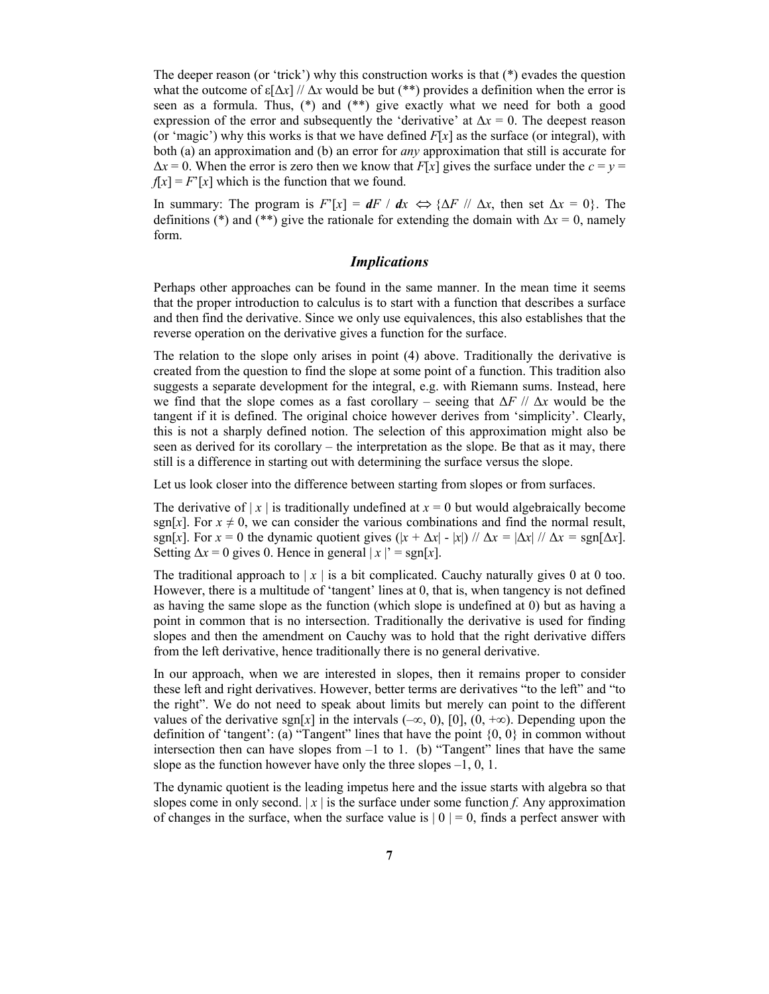The deeper reason (or 'trick') why this construction works is that  $(*)$  evades the question what the outcome of  $\varepsilon[\Delta x]/\Delta x$  would be but (\*\*) provides a definition when the error is seen as a formula. Thus, (\*) and (\*\*) give exactly what we need for both a good expression of the error and subsequently the 'derivative' at  $\Delta x = 0$ . The deepest reason (or 'magic') why this works is that we have defined  $F[x]$  as the surface (or integral), with both (a) an approximation and (b) an error for *any* approximation that still is accurate for  $\Delta x = 0$ . When the error is zero then we know that  $F[x]$  gives the surface under the  $c = y =$  $f[x] = F'[x]$  which is the function that we found.

In summary: The program is  $F'[x] = dF / dx \Leftrightarrow {\Delta F / \Delta x}$ , then set  $\Delta x = 0$ . The definitions (\*) and (\*\*) give the rationale for extending the domain with  $\Delta x = 0$ , namely form.

# Implications

Perhaps other approaches can be found in the same manner. In the mean time it seems that the proper introduction to calculus is to start with a function that describes a surface and then find the derivative. Since we only use equivalences, this also establishes that the reverse operation on the derivative gives a function for the surface.

The relation to the slope only arises in point (4) above. Traditionally the derivative is created from the question to find the slope at some point of a function. This tradition also suggests a separate development for the integral, e.g. with Riemann sums. Instead, here we find that the slope comes as a fast corollary – seeing that  $\Delta F / / \Delta x$  would be the tangent if it is defined. The original choice however derives from 'simplicity'. Clearly, this is not a sharply defined notion. The selection of this approximation might also be seen as derived for its corollary – the interpretation as the slope. Be that as it may, there still is a difference in starting out with determining the surface versus the slope.

Let us look closer into the difference between starting from slopes or from surfaces.

The derivative of  $|x|$  is traditionally undefined at  $x = 0$  but would algebraically become sgn[x]. For  $x \neq 0$ , we can consider the various combinations and find the normal result, sgn[x]. For  $x = 0$  the dynamic quotient gives  $(|x + \Delta x| - |x|)$  //  $\Delta x = |\Delta x|$  //  $\Delta x = \text{sgn}[\Delta x]$ . Setting  $\Delta x = 0$  gives 0. Hence in general  $|x|$  = sgn[x].

The traditional approach to  $|x|$  is a bit complicated. Cauchy naturally gives 0 at 0 too. However, there is a multitude of 'tangent' lines at 0, that is, when tangency is not defined as having the same slope as the function (which slope is undefined at 0) but as having a point in common that is no intersection. Traditionally the derivative is used for finding slopes and then the amendment on Cauchy was to hold that the right derivative differs from the left derivative, hence traditionally there is no general derivative.

In our approach, when we are interested in slopes, then it remains proper to consider these left and right derivatives. However, better terms are derivatives "to the left" and "to the right". We do not need to speak about limits but merely can point to the different values of the derivative sgn[x] in the intervals ( $-\infty$ , 0), [0], (0,  $+\infty$ ). Depending upon the definition of 'tangent': (a) "Tangent" lines that have the point  $\{0, 0\}$  in common without intersection then can have slopes from –1 to 1. (b) "Tangent" lines that have the same slope as the function however have only the three slopes –1, 0, 1.

The dynamic quotient is the leading impetus here and the issue starts with algebra so that slopes come in only second.  $|x|$  is the surface under some function f. Any approximation of changes in the surface, when the surface value is  $|0| = 0$ , finds a perfect answer with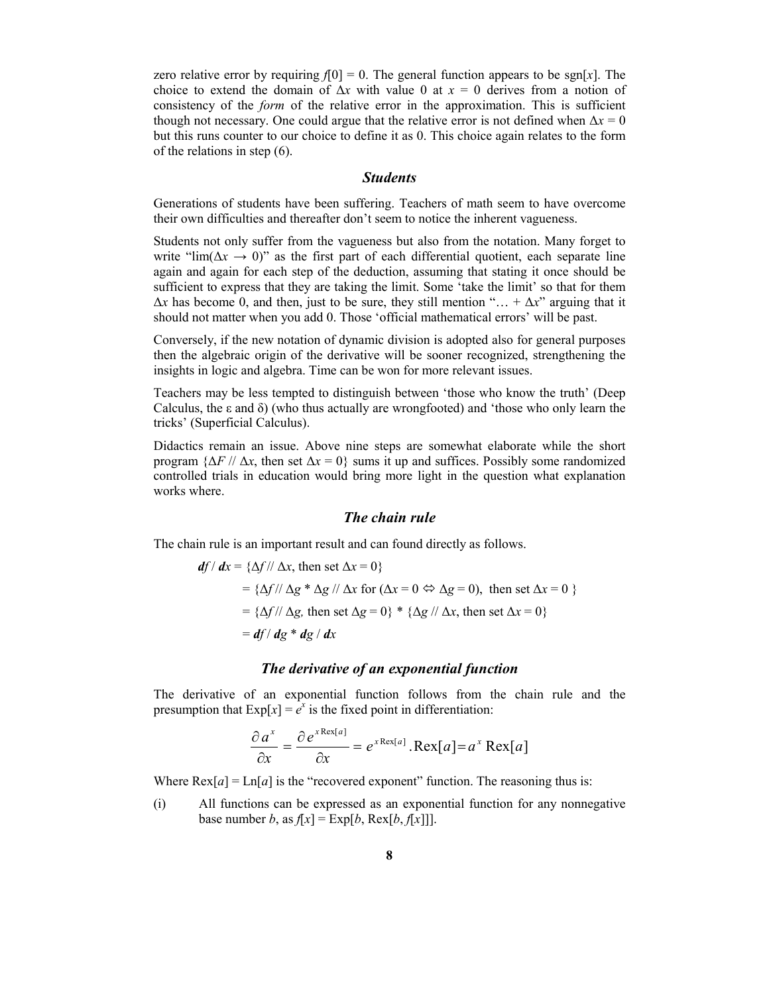zero relative error by requiring  $f[0] = 0$ . The general function appears to be sgn[x]. The choice to extend the domain of  $\Delta x$  with value 0 at  $x = 0$  derives from a notion of consistency of the form of the relative error in the approximation. This is sufficient though not necessary. One could argue that the relative error is not defined when  $\Delta x = 0$ but this runs counter to our choice to define it as 0. This choice again relates to the form of the relations in step (6).

#### Students

Generations of students have been suffering. Teachers of math seem to have overcome their own difficulties and thereafter don't seem to notice the inherent vagueness.

Students not only suffer from the vagueness but also from the notation. Many forget to write "lim( $\Delta x \rightarrow 0$ )" as the first part of each differential quotient, each separate line again and again for each step of the deduction, assuming that stating it once should be sufficient to express that they are taking the limit. Some 'take the limit' so that for them  $\Delta x$  has become 0, and then, just to be sure, they still mention "… +  $\Delta x$ " arguing that it should not matter when you add 0. Those 'official mathematical errors' will be past.

Conversely, if the new notation of dynamic division is adopted also for general purposes then the algebraic origin of the derivative will be sooner recognized, strengthening the insights in logic and algebra. Time can be won for more relevant issues.

Teachers may be less tempted to distinguish between 'those who know the truth' (Deep Calculus, the  $\varepsilon$  and  $\delta$ ) (who thus actually are wrongfooted) and 'those who only learn the tricks' (Superficial Calculus).

Didactics remain an issue. Above nine steps are somewhat elaborate while the short program  $\{\Delta F \mid \Delta x, \text{ then set } \Delta x = 0\}$  sums it up and suffices. Possibly some randomized controlled trials in education would bring more light in the question what explanation works where.

#### The chain rule

The chain rule is an important result and can found directly as follows.

$$
df/dx = \{\Delta f / / \Delta x, \text{ then set } \Delta x = 0\}
$$
  
= { $\Delta f / / \Delta g * \Delta g / / \Delta x$  for ( $\Delta x = 0 \Leftrightarrow \Delta g = 0$ ), then set  $\Delta x = 0$  }  
= { $\Delta f / / \Delta g$ , then set  $\Delta g = 0$ } \* { $\Delta g / / \Delta x$ , then set  $\Delta x = 0$ }  
=  $df / dg * dg / dx$ 

#### The derivative of an exponential function

The derivative of an exponential function follows from the chain rule and the presumption that  $Exp[x] = e^x$  is the fixed point in differentiation:

$$
\frac{\partial a^x}{\partial x} = \frac{\partial e^{x \text{Re} x[a]}}{\partial x} = e^{x \text{Re} x[a]} \cdot \text{Re} x[a] = a^x \text{Re} x[a]
$$

Where  $\text{Rex}[a] = \text{Ln}[a]$  is the "recovered exponent" function. The reasoning thus is:

(i) All functions can be expressed as an exponential function for any nonnegative base number b, as  $f[x] = \text{Exp}[b, \text{Rex}[b, f[x]]]$ .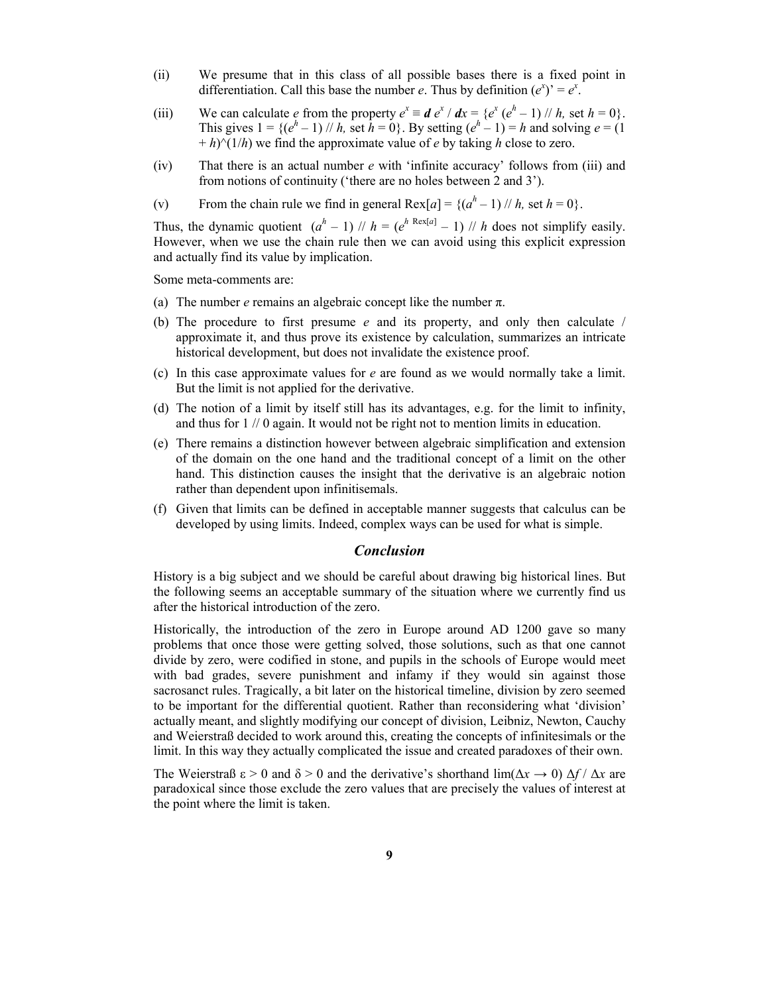- (ii) We presume that in this class of all possible bases there is a fixed point in differentiation. Call this base the number e. Thus by definition  $(e^x) = e^x$ .
- (iii) We can calculate *e* from the property  $e^x \equiv d e^x / dx = {e^x (e^h 1) / h}$ , set  $h = 0$ . This gives  $1 = \{(e^h - 1) \mid h$ , set  $h = 0\}$ . By setting  $(e^h - 1) = h$  and solving  $e = (1$  $+ h$ <sup>(1/h)</sup> we find the approximate value of *e* by taking *h* close to zero.
- (iv) That there is an actual number e with 'infinite accuracy' follows from (iii) and from notions of continuity ('there are no holes between 2 and 3').
- (v) From the chain rule we find in general Rex $[a] = \{(a<sup>h</sup> 1)$  // h, set  $h = 0\}$ .

Thus, the dynamic quotient  $(a<sup>h</sup> - 1)$  //  $h = (e<sup>h</sup> \text{ Res}(a) - 1)$  // h does not simplify easily. However, when we use the chain rule then we can avoid using this explicit expression and actually find its value by implication.

Some meta-comments are:

- (a) The number *e* remains an algebraic concept like the number  $\pi$ .
- (b) The procedure to first presume  $e$  and its property, and only then calculate  $/$ approximate it, and thus prove its existence by calculation, summarizes an intricate historical development, but does not invalidate the existence proof.
- (c) In this case approximate values for  $e$  are found as we would normally take a limit. But the limit is not applied for the derivative.
- (d) The notion of a limit by itself still has its advantages, e.g. for the limit to infinity, and thus for 1 // 0 again. It would not be right not to mention limits in education.
- (e) There remains a distinction however between algebraic simplification and extension of the domain on the one hand and the traditional concept of a limit on the other hand. This distinction causes the insight that the derivative is an algebraic notion rather than dependent upon infinitisemals.
- (f) Given that limits can be defined in acceptable manner suggests that calculus can be developed by using limits. Indeed, complex ways can be used for what is simple.

# Conclusion

History is a big subject and we should be careful about drawing big historical lines. But the following seems an acceptable summary of the situation where we currently find us after the historical introduction of the zero.

Historically, the introduction of the zero in Europe around AD 1200 gave so many problems that once those were getting solved, those solutions, such as that one cannot divide by zero, were codified in stone, and pupils in the schools of Europe would meet with bad grades, severe punishment and infamy if they would sin against those sacrosanct rules. Tragically, a bit later on the historical timeline, division by zero seemed to be important for the differential quotient. Rather than reconsidering what 'division' actually meant, and slightly modifying our concept of division, Leibniz, Newton, Cauchy and Weierstraß decided to work around this, creating the concepts of infinitesimals or the limit. In this way they actually complicated the issue and created paradoxes of their own.

The Weierstraß  $\varepsilon > 0$  and  $\delta > 0$  and the derivative's shorthand  $\lim(\Delta x \to 0) \Delta f / \Delta x$  are paradoxical since those exclude the zero values that are precisely the values of interest at the point where the limit is taken.